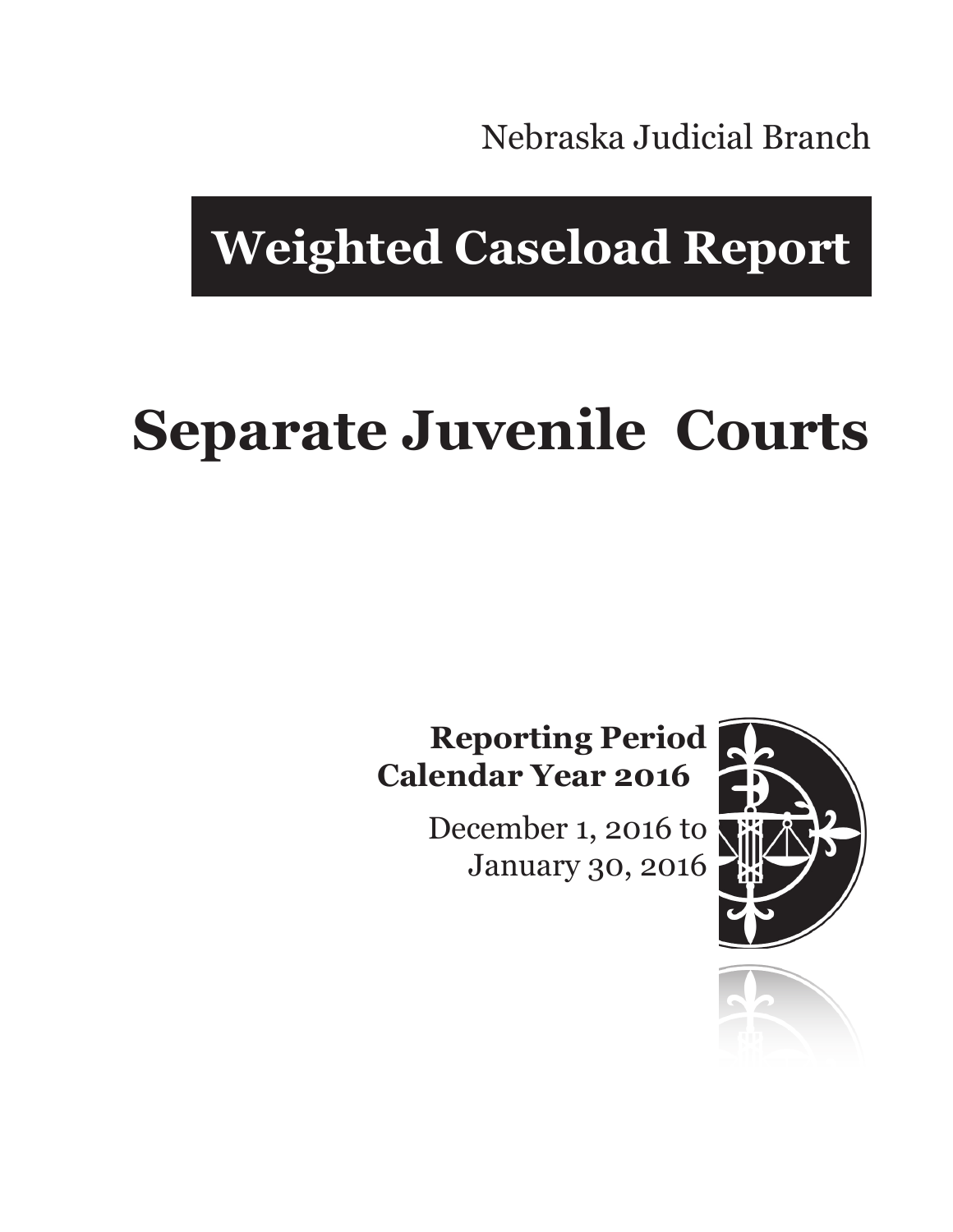Nebraska Judicial Branch

## **Weighted Caseload Report**

# **Separate Juvenile Courts**

#### **Reporting Period Calendar Year 2016**

December 1, 2016 to January 30, 2016



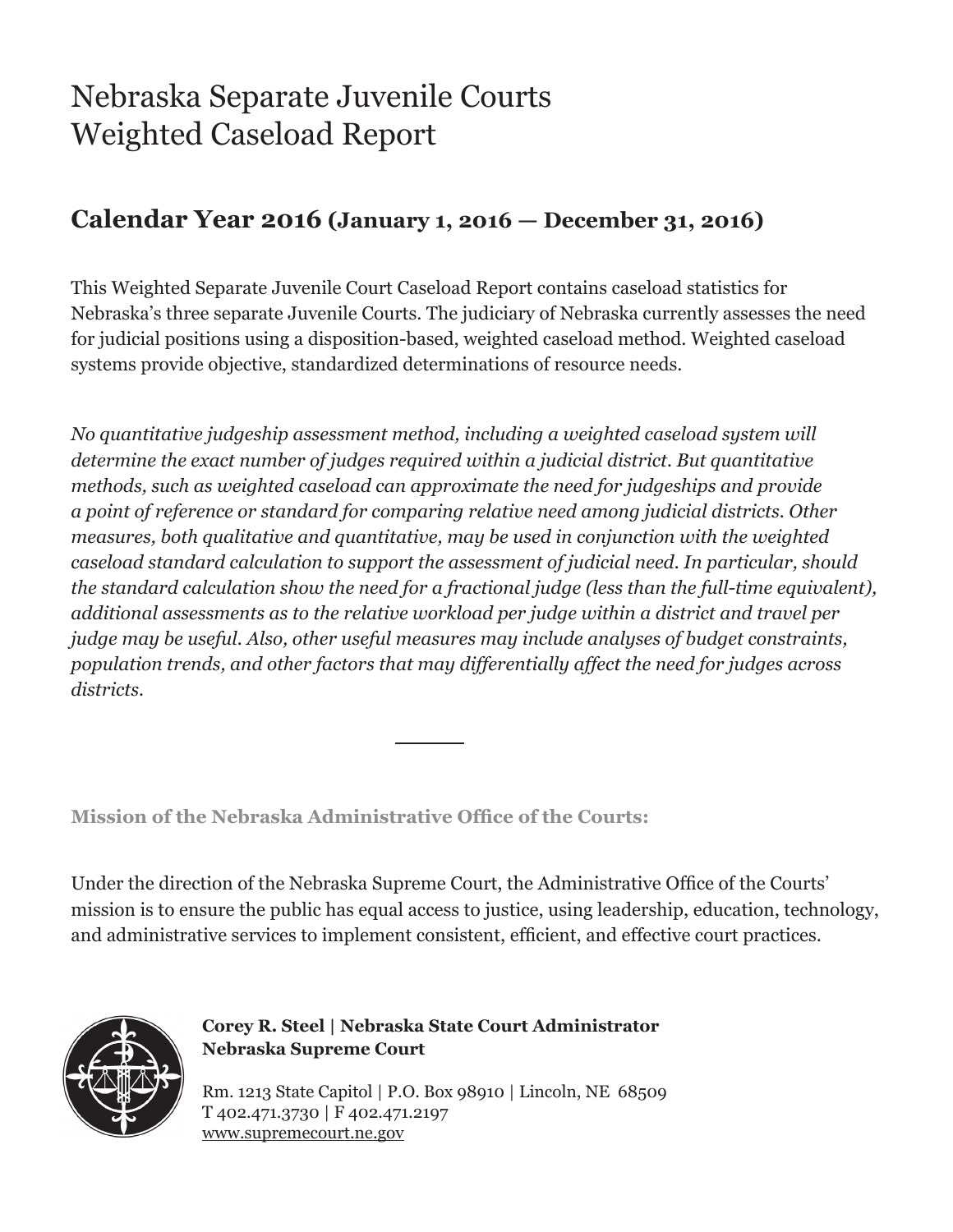### Nebraska Separate Juvenile Courts Weighted Caseload Report

#### **Calendar Year 2016 (January 1, 2016 — December 31, 2016)**

This Weighted Separate Juvenile Court Caseload Report contains caseload statistics for Nebraska's three separate Juvenile Courts. The judiciary of Nebraska currently assesses the need for judicial positions using a disposition-based, weighted caseload method. Weighted caseload systems provide objective, standardized determinations of resource needs.

*No quantitative judgeship assessment method, including a weighted caseload system will determine the exact number of judges required within a judicial district. But quantitative methods, such as weighted caseload can approximate the need for judgeships and provide a point of reference or standard for comparing relative need among judicial districts. Other measures, both qualitative and quantitative, may be used in conjunction with the weighted caseload standard calculation to support the assessment of judicial need. In particular, should the standard calculation show the need for a fractional judge (less than the full-time equivalent), additional assessments as to the relative workload per judge within a district and travel per judge may be useful. Also, other useful measures may include analyses of budget constraints, population trends, and other factors that may differentially affect the need for judges across districts.*

**Mission of the Nebraska Administrative Office of the Courts:**

Under the direction of the Nebraska Supreme Court, the Administrative Office of the Courts' mission is to ensure the public has equal access to justice, using leadership, education, technology, and administrative services to implement consistent, efficient, and effective court practices.



**Corey R. Steel | Nebraska State Court Administrator Nebraska Supreme Court**

Rm. 1213 State Capitol | P.O. Box 98910 | Lincoln, NE 68509 T 402.471.3730 | F 402.471.2197 www.supremecourt.ne.gov